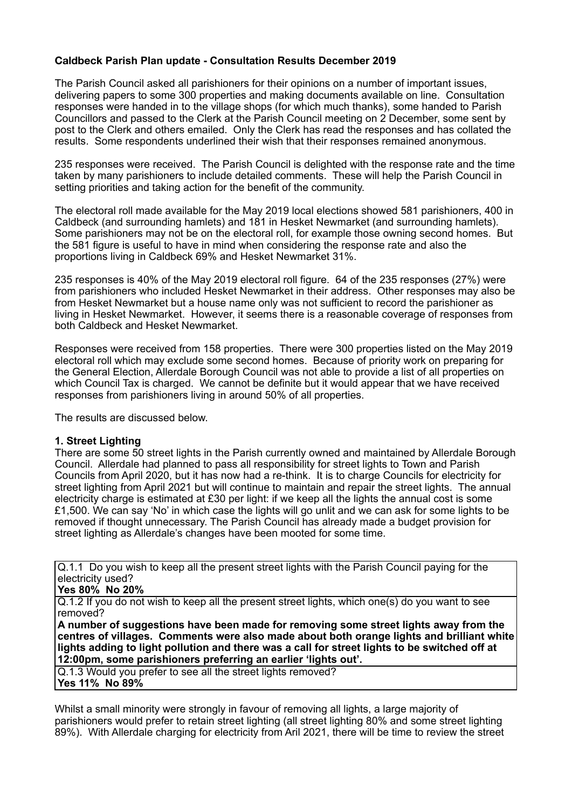# **Caldbeck Parish Plan update - Consultation Results December 2019**

The Parish Council asked all parishioners for their opinions on a number of important issues, delivering papers to some 300 properties and making documents available on line. Consultation responses were handed in to the village shops (for which much thanks), some handed to Parish Councillors and passed to the Clerk at the Parish Council meeting on 2 December, some sent by post to the Clerk and others emailed. Only the Clerk has read the responses and has collated the results. Some respondents underlined their wish that their responses remained anonymous.

235 responses were received. The Parish Council is delighted with the response rate and the time taken by many parishioners to include detailed comments. These will help the Parish Council in setting priorities and taking action for the benefit of the community.

The electoral roll made available for the May 2019 local elections showed 581 parishioners, 400 in Caldbeck (and surrounding hamlets) and 181 in Hesket Newmarket (and surrounding hamlets). Some parishioners may not be on the electoral roll, for example those owning second homes. But the 581 figure is useful to have in mind when considering the response rate and also the proportions living in Caldbeck 69% and Hesket Newmarket 31%.

235 responses is 40% of the May 2019 electoral roll figure. 64 of the 235 responses (27%) were from parishioners who included Hesket Newmarket in their address. Other responses may also be from Hesket Newmarket but a house name only was not sufficient to record the parishioner as living in Hesket Newmarket. However, it seems there is a reasonable coverage of responses from both Caldbeck and Hesket Newmarket.

Responses were received from 158 properties. There were 300 properties listed on the May 2019 electoral roll which may exclude some second homes. Because of priority work on preparing for the General Election, Allerdale Borough Council was not able to provide a list of all properties on which Council Tax is charged. We cannot be definite but it would appear that we have received responses from parishioners living in around 50% of all properties.

The results are discussed below.

# **1. Street Lighting**

There are some 50 street lights in the Parish currently owned and maintained by Allerdale Borough Council. Allerdale had planned to pass all responsibility for street lights to Town and Parish Councils from April 2020, but it has now had a re-think. It is to charge Councils for electricity for street lighting from April 2021 but will continue to maintain and repair the street lights. The annual electricity charge is estimated at £30 per light: if we keep all the lights the annual cost is some £1,500. We can say 'No' in which case the lights will go unlit and we can ask for some lights to be removed if thought unnecessary. The Parish Council has already made a budget provision for street lighting as Allerdale's changes have been mooted for some time.

Q.1.1 Do you wish to keep all the present street lights with the Parish Council paying for the electricity used?

#### **Yes 80% No 20%**

Q.1.2 If you do not wish to keep all the present street lights, which one(s) do you want to see removed?

**A number of suggestions have been made for removing some street lights away from the centres of villages. Comments were also made about both orange lights and brilliant white lights adding to light pollution and there was a call for street lights to be switched off at 12:00pm, some parishioners preferring an earlier 'lights out'.**

Q.1.3 Would you prefer to see all the street lights removed? **Yes 11% No 89%**

Whilst a small minority were strongly in favour of removing all lights, a large majority of parishioners would prefer to retain street lighting (all street lighting 80% and some street lighting 89%). With Allerdale charging for electricity from Aril 2021, there will be time to review the street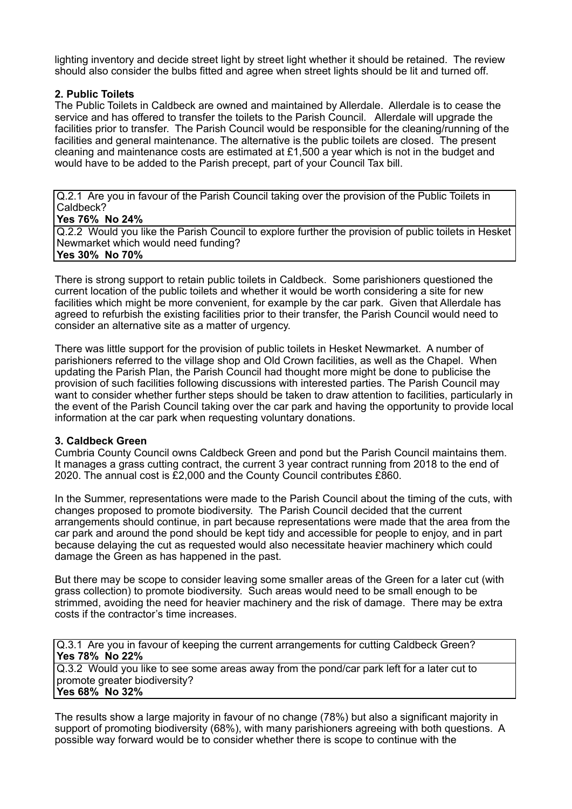lighting inventory and decide street light by street light whether it should be retained. The review should also consider the bulbs fitted and agree when street lights should be lit and turned off.

# **2. Public Toilets**

The Public Toilets in Caldbeck are owned and maintained by Allerdale. Allerdale is to cease the service and has offered to transfer the toilets to the Parish Council. Allerdale will upgrade the facilities prior to transfer. The Parish Council would be responsible for the cleaning/running of the facilities and general maintenance. The alternative is the public toilets are closed. The present cleaning and maintenance costs are estimated at £1,500 a year which is not in the budget and would have to be added to the Parish precept, part of your Council Tax bill.

Q.2.1 Are you in favour of the Parish Council taking over the provision of the Public Toilets in Caldbeck?

## **Yes 76% No 24%**

Q.2.2 Would you like the Parish Council to explore further the provision of public toilets in Hesket Newmarket which would need funding? **Yes 30% No 70%**

There is strong support to retain public toilets in Caldbeck. Some parishioners questioned the current location of the public toilets and whether it would be worth considering a site for new facilities which might be more convenient, for example by the car park. Given that Allerdale has agreed to refurbish the existing facilities prior to their transfer, the Parish Council would need to consider an alternative site as a matter of urgency.

There was little support for the provision of public toilets in Hesket Newmarket. A number of parishioners referred to the village shop and Old Crown facilities, as well as the Chapel. When updating the Parish Plan, the Parish Council had thought more might be done to publicise the provision of such facilities following discussions with interested parties. The Parish Council may want to consider whether further steps should be taken to draw attention to facilities, particularly in the event of the Parish Council taking over the car park and having the opportunity to provide local information at the car park when requesting voluntary donations.

# **3. Caldbeck Green**

Cumbria County Council owns Caldbeck Green and pond but the Parish Council maintains them. It manages a grass cutting contract, the current 3 year contract running from 2018 to the end of 2020. The annual cost is £2,000 and the County Council contributes £860.

In the Summer, representations were made to the Parish Council about the timing of the cuts, with changes proposed to promote biodiversity. The Parish Council decided that the current arrangements should continue, in part because representations were made that the area from the car park and around the pond should be kept tidy and accessible for people to enjoy, and in part because delaying the cut as requested would also necessitate heavier machinery which could damage the Green as has happened in the past.

But there may be scope to consider leaving some smaller areas of the Green for a later cut (with grass collection) to promote biodiversity. Such areas would need to be small enough to be strimmed, avoiding the need for heavier machinery and the risk of damage. There may be extra costs if the contractor's time increases.

Q.3.1 Are you in favour of keeping the current arrangements for cutting Caldbeck Green? **Yes 78% No 22%**

Q.3.2 Would you like to see some areas away from the pond/car park left for a later cut to promote greater biodiversity? **Yes 68% No 32%**

The results show a large majority in favour of no change (78%) but also a significant majority in support of promoting biodiversity (68%), with many parishioners agreeing with both questions. A possible way forward would be to consider whether there is scope to continue with the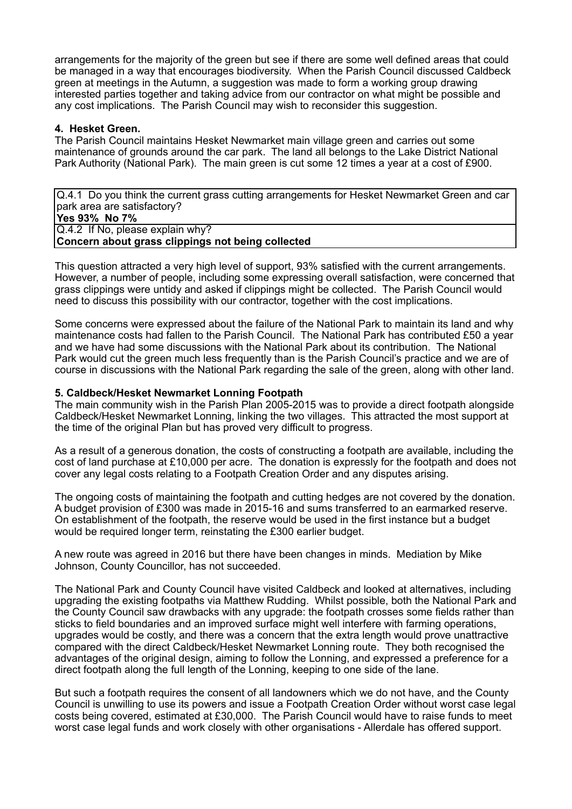arrangements for the majority of the green but see if there are some well defined areas that could be managed in a way that encourages biodiversity. When the Parish Council discussed Caldbeck green at meetings in the Autumn, a suggestion was made to form a working group drawing interested parties together and taking advice from our contractor on what might be possible and any cost implications. The Parish Council may wish to reconsider this suggestion.

## **4. Hesket Green.**

The Parish Council maintains Hesket Newmarket main village green and carries out some maintenance of grounds around the car park. The land all belongs to the Lake District National Park Authority (National Park). The main green is cut some 12 times a year at a cost of £900.

Q.4.1 Do you think the current grass cutting arrangements for Hesket Newmarket Green and car park area are satisfactory? **Yes 93% No 7%** Q.4.2 If No, please explain why?

**Concern about grass clippings not being collected**

This question attracted a very high level of support, 93% satisfied with the current arrangements. However, a number of people, including some expressing overall satisfaction, were concerned that grass clippings were untidy and asked if clippings might be collected. The Parish Council would need to discuss this possibility with our contractor, together with the cost implications.

Some concerns were expressed about the failure of the National Park to maintain its land and why maintenance costs had fallen to the Parish Council. The National Park has contributed £50 a year and we have had some discussions with the National Park about its contribution. The National Park would cut the green much less frequently than is the Parish Council's practice and we are of course in discussions with the National Park regarding the sale of the green, along with other land.

## **5. Caldbeck/Hesket Newmarket Lonning Footpath**

The main community wish in the Parish Plan 2005-2015 was to provide a direct footpath alongside Caldbeck/Hesket Newmarket Lonning, linking the two villages. This attracted the most support at the time of the original Plan but has proved very difficult to progress.

As a result of a generous donation, the costs of constructing a footpath are available, including the cost of land purchase at £10,000 per acre. The donation is expressly for the footpath and does not cover any legal costs relating to a Footpath Creation Order and any disputes arising.

The ongoing costs of maintaining the footpath and cutting hedges are not covered by the donation. A budget provision of £300 was made in 2015-16 and sums transferred to an earmarked reserve. On establishment of the footpath, the reserve would be used in the first instance but a budget would be required longer term, reinstating the £300 earlier budget.

A new route was agreed in 2016 but there have been changes in minds. Mediation by Mike Johnson, County Councillor, has not succeeded.

The National Park and County Council have visited Caldbeck and looked at alternatives, including upgrading the existing footpaths via Matthew Rudding. Whilst possible, both the National Park and the County Council saw drawbacks with any upgrade: the footpath crosses some fields rather than sticks to field boundaries and an improved surface might well interfere with farming operations, upgrades would be costly, and there was a concern that the extra length would prove unattractive compared with the direct Caldbeck/Hesket Newmarket Lonning route. They both recognised the advantages of the original design, aiming to follow the Lonning, and expressed a preference for a direct footpath along the full length of the Lonning, keeping to one side of the lane.

But such a footpath requires the consent of all landowners which we do not have, and the County Council is unwilling to use its powers and issue a Footpath Creation Order without worst case legal costs being covered, estimated at £30,000. The Parish Council would have to raise funds to meet worst case legal funds and work closely with other organisations - Allerdale has offered support.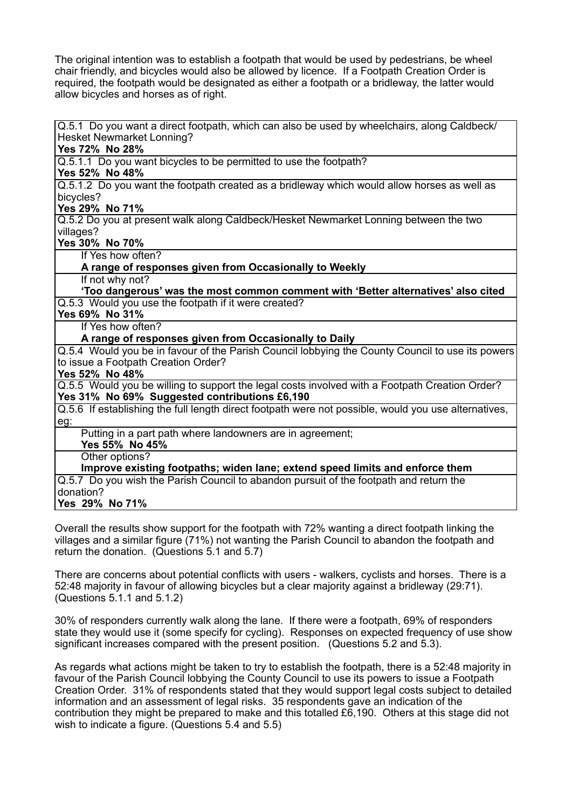The original intention was to establish a footpath that would be used by pedestrians, be wheel chair friendly, and bicycles would also be allowed by licence. If a Footpath Creation Order is required, the footpath would be designated as either a footpath or a bridleway, the latter would allow bicycles and horses as of right.

Q.5.1 Do you want a direct footpath, which can also be used by wheelchairs, along Caldbeck/ Hesket Newmarket Lonning?

**Yes 72% No 28%**

Q.5.1.1 Do you want bicycles to be permitted to use the footpath?

## **Yes 52% No 48%**

Q.5.1.2 Do you want the footpath created as a bridleway which would allow horses as well as bicycles?

# **Yes 29% No 71%**

Q.5.2 Do you at present walk along Caldbeck/Hesket Newmarket Lonning between the two villages?

**Yes 30% No 70%**

If Yes how often?

#### **A range of responses given from Occasionally to Weekly**

If not why not?

 **'Too dangerous' was the most common comment with 'Better alternatives' also cited** Q.5.3 Would you use the footpath if it were created?

## **Yes 69% No 31%**

If Yes how often?

#### **A range of responses given from Occasionally to Daily**

Q.5.4 Would you be in favour of the Parish Council lobbying the County Council to use its powers to issue a Footpath Creation Order?

#### **Yes 52% No 48%**

Q.5.5 Would you be willing to support the legal costs involved with a Footpath Creation Order? **Yes 31% No 69% Suggested contributions £6,190** 

Q.5.6 If establishing the full length direct footpath were not possible, would you use alternatives, eg:

Putting in a part path where landowners are in agreement;

**Yes 55% No 45%**

Other options?

**Improve existing footpaths; widen lane; extend speed limits and enforce them**

Q.5.7 Do you wish the Parish Council to abandon pursuit of the footpath and return the donation?

**Yes 29% No 71%**

Overall the results show support for the footpath with 72% wanting a direct footpath linking the villages and a similar figure (71%) not wanting the Parish Council to abandon the footpath and return the donation. (Questions 5.1 and 5.7)

There are concerns about potential conflicts with users - walkers, cyclists and horses. There is a 52:48 majority in favour of allowing bicycles but a clear majority against a bridleway (29:71). (Questions 5.1.1 and 5.1.2)

30% of responders currently walk along the lane. If there were a footpath, 69% of responders state they would use it (some specify for cycling). Responses on expected frequency of use show significant increases compared with the present position. (Questions 5.2 and 5.3).

As regards what actions might be taken to try to establish the footpath, there is a 52:48 majority in favour of the Parish Council lobbying the County Council to use its powers to issue a Footpath Creation Order. 31% of respondents stated that they would support legal costs subject to detailed information and an assessment of legal risks. 35 respondents gave an indication of the contribution they might be prepared to make and this totalled £6,190. Others at this stage did not wish to indicate a figure. (Questions 5.4 and 5.5)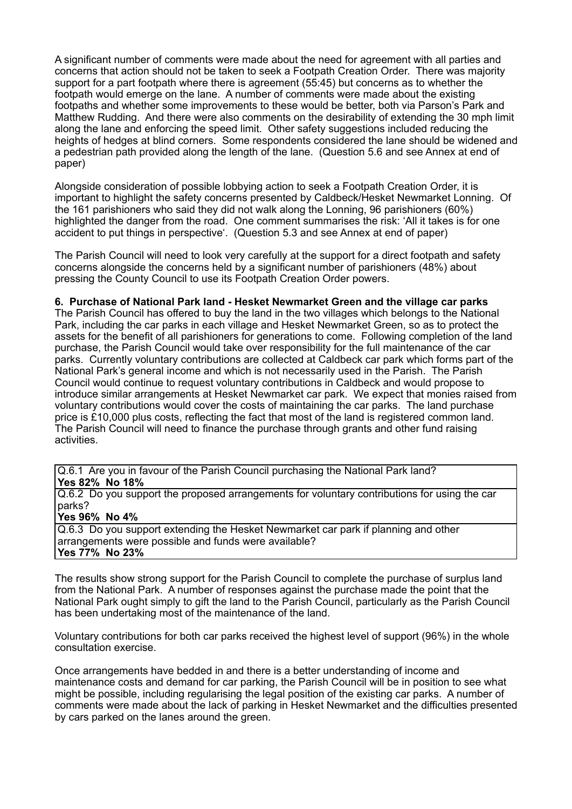A significant number of comments were made about the need for agreement with all parties and concerns that action should not be taken to seek a Footpath Creation Order. There was majority support for a part footpath where there is agreement (55:45) but concerns as to whether the footpath would emerge on the lane. A number of comments were made about the existing footpaths and whether some improvements to these would be better, both via Parson's Park and Matthew Rudding. And there were also comments on the desirability of extending the 30 mph limit along the lane and enforcing the speed limit. Other safety suggestions included reducing the heights of hedges at blind corners. Some respondents considered the lane should be widened and a pedestrian path provided along the length of the lane. (Question 5.6 and see Annex at end of paper)

Alongside consideration of possible lobbying action to seek a Footpath Creation Order, it is important to highlight the safety concerns presented by Caldbeck/Hesket Newmarket Lonning. Of the 161 parishioners who said they did not walk along the Lonning, 96 parishioners (60%) highlighted the danger from the road. One comment summarises the risk: 'All it takes is for one accident to put things in perspective'. (Question 5.3 and see Annex at end of paper)

The Parish Council will need to look very carefully at the support for a direct footpath and safety concerns alongside the concerns held by a significant number of parishioners (48%) about pressing the County Council to use its Footpath Creation Order powers.

#### **6. Purchase of National Park land - Hesket Newmarket Green and the village car parks**

The Parish Council has offered to buy the land in the two villages which belongs to the National Park, including the car parks in each village and Hesket Newmarket Green, so as to protect the assets for the benefit of all parishioners for generations to come. Following completion of the land purchase, the Parish Council would take over responsibility for the full maintenance of the car parks. Currently voluntary contributions are collected at Caldbeck car park which forms part of the National Park's general income and which is not necessarily used in the Parish. The Parish Council would continue to request voluntary contributions in Caldbeck and would propose to introduce similar arrangements at Hesket Newmarket car park. We expect that monies raised from voluntary contributions would cover the costs of maintaining the car parks. The land purchase price is £10,000 plus costs, reflecting the fact that most of the land is registered common land. The Parish Council will need to finance the purchase through grants and other fund raising activities.

Q.6.1 Are you in favour of the Parish Council purchasing the National Park land? **Yes 82% No 18%**

Q.6.2 Do you support the proposed arrangements for voluntary contributions for using the car parks?

#### **Yes 96% No 4%**

Q.6.3 Do you support extending the Hesket Newmarket car park if planning and other arrangements were possible and funds were available? **Yes 77% No 23%**

The results show strong support for the Parish Council to complete the purchase of surplus land from the National Park. A number of responses against the purchase made the point that the National Park ought simply to gift the land to the Parish Council, particularly as the Parish Council has been undertaking most of the maintenance of the land.

Voluntary contributions for both car parks received the highest level of support (96%) in the whole consultation exercise.

Once arrangements have bedded in and there is a better understanding of income and maintenance costs and demand for car parking, the Parish Council will be in position to see what might be possible, including regularising the legal position of the existing car parks. A number of comments were made about the lack of parking in Hesket Newmarket and the difficulties presented by cars parked on the lanes around the green.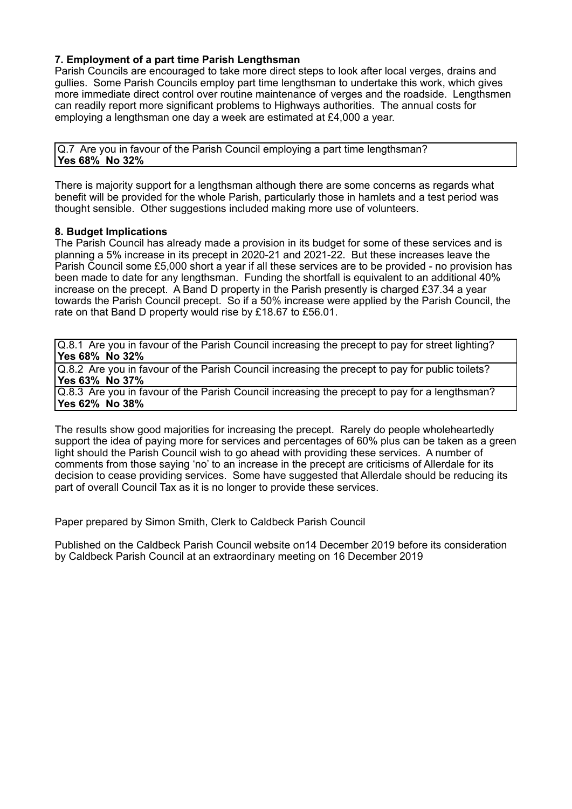# **7. Employment of a part time Parish Lengthsman**

Parish Councils are encouraged to take more direct steps to look after local verges, drains and gullies. Some Parish Councils employ part time lengthsman to undertake this work, which gives more immediate direct control over routine maintenance of verges and the roadside. Lengthsmen can readily report more significant problems to Highways authorities. The annual costs for employing a lengthsman one day a week are estimated at £4,000 a year.

Q.7 Are you in favour of the Parish Council employing a part time lengthsman? **Yes 68% No 32%**

There is majority support for a lengthsman although there are some concerns as regards what benefit will be provided for the whole Parish, particularly those in hamlets and a test period was thought sensible. Other suggestions included making more use of volunteers.

#### **8. Budget Implications**

The Parish Council has already made a provision in its budget for some of these services and is planning a 5% increase in its precept in 2020-21 and 2021-22. But these increases leave the Parish Council some £5,000 short a year if all these services are to be provided - no provision has been made to date for any lengthsman. Funding the shortfall is equivalent to an additional 40% increase on the precept. A Band D property in the Parish presently is charged £37.34 a year towards the Parish Council precept. So if a 50% increase were applied by the Parish Council, the rate on that Band D property would rise by £18.67 to £56.01.

Q.8.1 Are you in favour of the Parish Council increasing the precept to pay for street lighting? **Yes 68% No 32%**

Q.8.2 Are you in favour of the Parish Council increasing the precept to pay for public toilets? **Yes 63% No 37%**

Q.8.3 Are you in favour of the Parish Council increasing the precept to pay for a lengthsman? **Yes 62% No 38%**

The results show good majorities for increasing the precept. Rarely do people wholeheartedly support the idea of paying more for services and percentages of 60% plus can be taken as a green light should the Parish Council wish to go ahead with providing these services. A number of comments from those saying 'no' to an increase in the precept are criticisms of Allerdale for its decision to cease providing services. Some have suggested that Allerdale should be reducing its part of overall Council Tax as it is no longer to provide these services.

Paper prepared by Simon Smith, Clerk to Caldbeck Parish Council

Published on the Caldbeck Parish Council website on14 December 2019 before its consideration by Caldbeck Parish Council at an extraordinary meeting on 16 December 2019